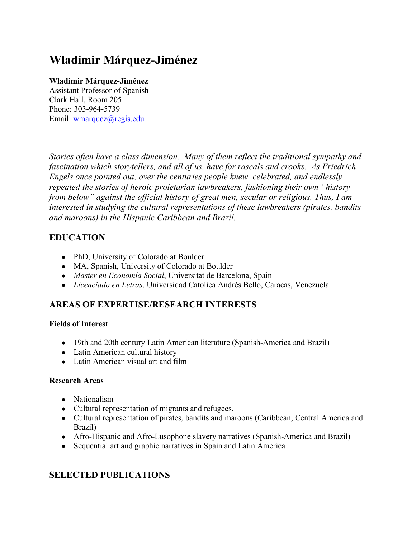# **Wladimir Márquez-Jiménez**

#### **Wladimir Márquez-Jiménez**

Assistant Professor of Spanish Clark Hall, Room 205 Phone: 303-964-5739 Email: wmarquez@regis.edu

*Stories often have a class dimension. Many of them reflect the traditional sympathy and fascination which storytellers, and all of us, have for rascals and crooks. As Friedrich Engels once pointed out, over the centuries people knew, celebrated, and endlessly repeated the stories of heroic proletarian lawbreakers, fashioning their own "history from below" against the official history of great men, secular or religious. Thus, I am interested in studying the cultural representations of these lawbreakers (pirates, bandits and maroons) in the Hispanic Caribbean and Brazil.* 

## **EDUCATION**

- PhD, University of Colorado at Boulder
- MA, Spanish, University of Colorado at Boulder
- *Master en Economía Social*, Universitat de Barcelona, Spain
- *Licenciado en Letras*, Universidad Católica Andrés Bello, Caracas, Venezuela

# **AREAS OF EXPERTISE/RESEARCH INTERESTS**

#### **Fields of Interest**

- 19th and 20th century Latin American literature (Spanish-America and Brazil)
- Latin American cultural history
- Latin American visual art and film

#### **Research Areas**

- Nationalism
- Cultural representation of migrants and refugees.
- Cultural representation of pirates, bandits and maroons (Caribbean, Central America and Brazil)
- Afro-Hispanic and Afro-Lusophone slavery narratives (Spanish-America and Brazil)
- Sequential art and graphic narratives in Spain and Latin America

# **SELECTED PUBLICATIONS**